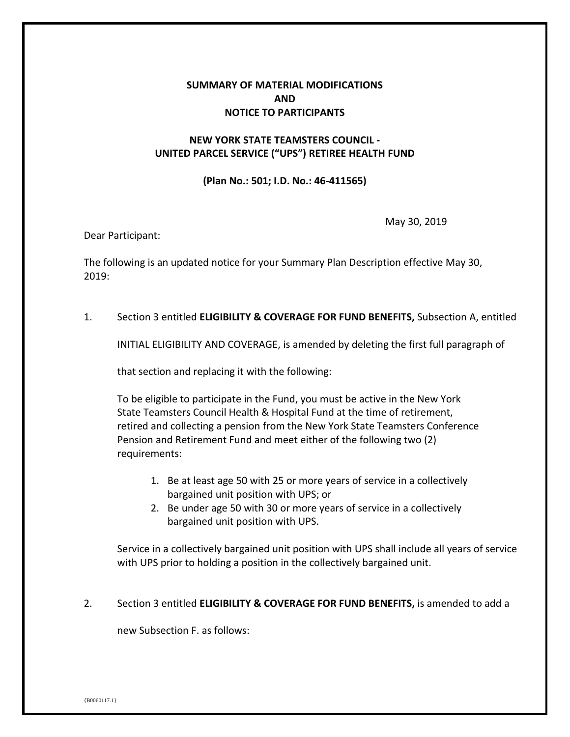# **SUMMARY OF MATERIAL MODIFICATIONS AND NOTICE TO PARTICIPANTS**

## **NEW YORK STATE TEAMSTERS COUNCIL - UNITED PARCEL SERVICE ("UPS") RETIREE HEALTH FUND**

### **(Plan No.: 501; I.D. No.: 46-411565)**

May 30, 2019

Dear Participant:

The following is an updated notice for your Summary Plan Description effective May 30, 2019:

1. Section 3 entitled **ELIGIBILITY & COVERAGE FOR FUND BENEFITS,** Subsection A, entitled

INITIAL ELIGIBILITY AND COVERAGE, is amended by deleting the first full paragraph of

that section and replacing it with the following:

To be eligible to participate in the Fund, you must be active in the New York State Teamsters Council Health & Hospital Fund at the time of retirement, retired and collecting a pension from the New York State Teamsters Conference Pension and Retirement Fund and meet either of the following two (2) requirements:

- 1. Be at least age 50 with 25 or more years of service in a collectively bargained unit position with UPS; or
- 2. Be under age 50 with 30 or more years of service in a collectively bargained unit position with UPS.

Service in a collectively bargained unit position with UPS shall include all years of service with UPS prior to holding a position in the collectively bargained unit.

### 2. Section 3 entitled **ELIGIBILITY & COVERAGE FOR FUND BENEFITS,** is amended to add a

new Subsection F. as follows: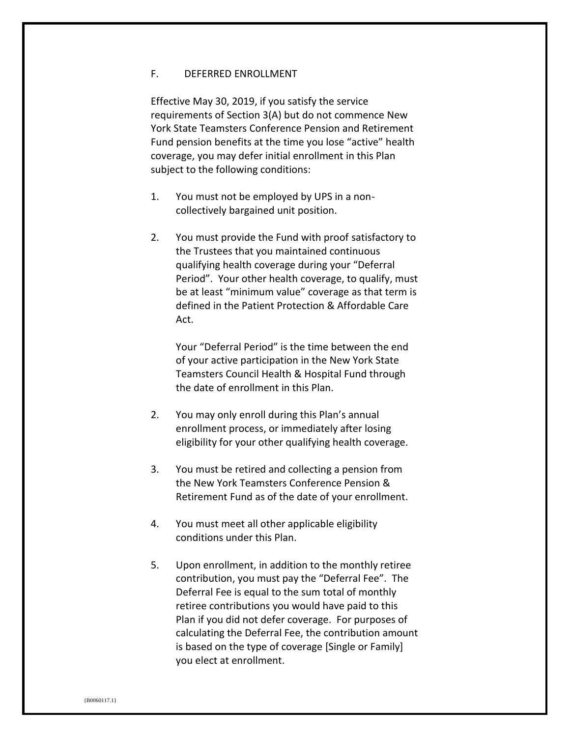#### F. DEFERRED ENROLLMENT

Effective May 30, 2019, if you satisfy the service requirements of Section 3(A) but do not commence New York State Teamsters Conference Pension and Retirement Fund pension benefits at the time you lose "active" health coverage, you may defer initial enrollment in this Plan subject to the following conditions:

- 1. You must not be employed by UPS in a noncollectively bargained unit position.
- 2. You must provide the Fund with proof satisfactory to the Trustees that you maintained continuous qualifying health coverage during your "Deferral Period". Your other health coverage, to qualify, must be at least "minimum value" coverage as that term is defined in the Patient Protection & Affordable Care Act.

Your "Deferral Period" is the time between the end of your active participation in the New York State Teamsters Council Health & Hospital Fund through the date of enrollment in this Plan.

- 2. You may only enroll during this Plan's annual enrollment process, or immediately after losing eligibility for your other qualifying health coverage.
- 3. You must be retired and collecting a pension from the New York Teamsters Conference Pension & Retirement Fund as of the date of your enrollment.
- 4. You must meet all other applicable eligibility conditions under this Plan.
- 5. Upon enrollment, in addition to the monthly retiree contribution, you must pay the "Deferral Fee". The Deferral Fee is equal to the sum total of monthly retiree contributions you would have paid to this Plan if you did not defer coverage. For purposes of calculating the Deferral Fee, the contribution amount is based on the type of coverage [Single or Family] you elect at enrollment.